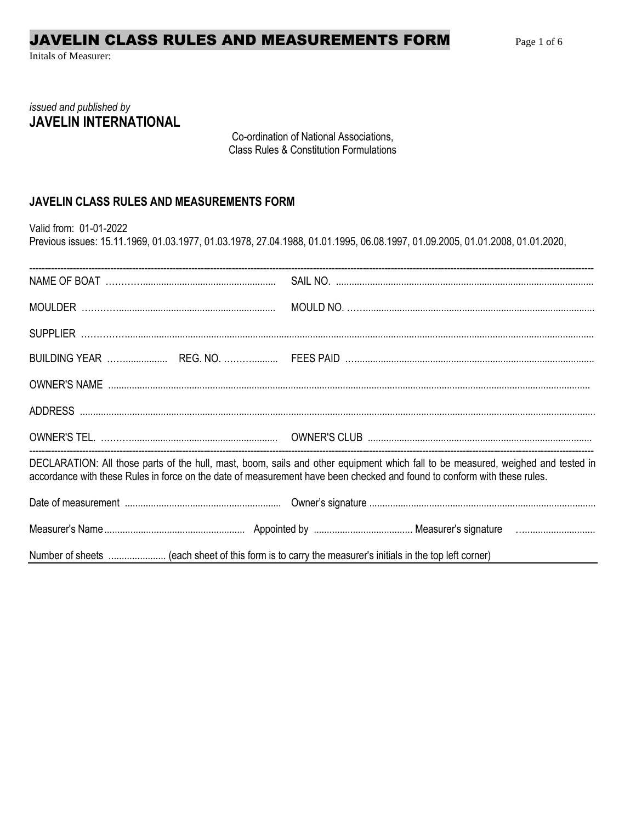# JAVELIN CLASS RULES AND MEASUREMENTS FORM

Initals of Measurer:

## issued and published by **JAVELIN INTERNATIONAL**

Co-ordination of National Associations, **Class Rules & Constitution Formulations** 

### JAVELIN CLASS RULES AND MEASUREMENTS FORM

Valid from: 01-01-2022

Previous issues: 15.11.1969, 01.03.1977, 01.03.1978, 27.04.1988, 01.01.1995, 06.08.1997, 01.09.2005, 01.01.2008, 01.01.2020,

| DECLARATION: All those parts of the hull, mast, boom, sails and other equipment which fall to be measured, weighed and tested in<br>accordance with these Rules in force on the date of measurement have been checked and found to conform with these rules. |
|--------------------------------------------------------------------------------------------------------------------------------------------------------------------------------------------------------------------------------------------------------------|
|                                                                                                                                                                                                                                                              |
|                                                                                                                                                                                                                                                              |
|                                                                                                                                                                                                                                                              |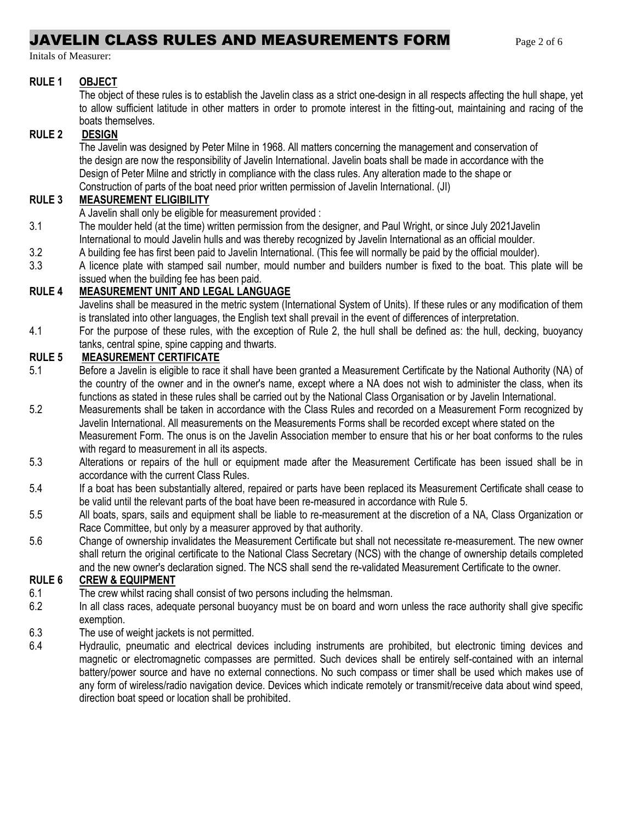## **JAVELIN CLASS RULES AND MEASUREMENTS FORM Page 2 of 6**

Initals of Measurer:

#### **RULE 1 OBJECT**

The object of these rules is to establish the Javelin class as a strict one-design in all respects affecting the hull shape, yet to allow sufficient latitude in other matters in order to promote interest in the fitting-out, maintaining and racing of the boats themselves.

#### **RULE 2 DESIGN**

The Javelin was designed by Peter Milne in 1968. All matters concerning the management and conservation of the design are now the responsibility of Javelin International. Javelin boats shall be made in accordance with the Design of Peter Milne and strictly in compliance with the class rules. Any alteration made to the shape or Construction of parts of the boat need prior written permission of Javelin International. (JI)

#### **RULE 3 MEASUREMENT ELIGIBILITY**

A Javelin shall only be eligible for measurement provided :

- 3.1 The moulder held (at the time) written permission from the designer, and Paul Wright, or since July 2021Javelin International to mould Javelin hulls and was thereby recognized by Javelin International as an official moulder.
- 3.2 A building fee has first been paid to Javelin International. (This fee will normally be paid by the official moulder).
- 3.3 A licence plate with stamped sail number, mould number and builders number is fixed to the boat. This plate will be issued when the building fee has been paid.

### **RULE 4 MEASUREMENT UNIT AND LEGAL LANGUAGE**

Javelins shall be measured in the metric system (International System of Units). If these rules or any modification of them is translated into other languages, the English text shall prevail in the event of differences of interpretation.

4.1 For the purpose of these rules, with the exception of Rule 2, the hull shall be defined as: the hull, decking, buoyancy tanks, central spine, spine capping and thwarts.

#### **RULE 5 MEASUREMENT CERTIFICATE**

- 5.1 Before a Javelin is eligible to race it shall have been granted a Measurement Certificate by the National Authority (NA) of the country of the owner and in the owner's name, except where a NA does not wish to administer the class, when its functions as stated in these rules shall be carried out by the National Class Organisation or by Javelin International.
- 5.2 Measurements shall be taken in accordance with the Class Rules and recorded on a Measurement Form recognized by Javelin International. All measurements on the Measurements Forms shall be recorded except where stated on the Measurement Form. The onus is on the Javelin Association member to ensure that his or her boat conforms to the rules with regard to measurement in all its aspects.
- 5.3 Alterations or repairs of the hull or equipment made after the Measurement Certificate has been issued shall be in accordance with the current Class Rules.
- 5.4 If a boat has been substantially altered, repaired or parts have been replaced its Measurement Certificate shall cease to be valid until the relevant parts of the boat have been re-measured in accordance with Rule 5.
- 5.5 All boats, spars, sails and equipment shall be liable to re-measurement at the discretion of a NA, Class Organization or Race Committee, but only by a measurer approved by that authority.
- 5.6 Change of ownership invalidates the Measurement Certificate but shall not necessitate re-measurement. The new owner shall return the original certificate to the National Class Secretary (NCS) with the change of ownership details completed and the new owner's declaration signed. The NCS shall send the re-validated Measurement Certificate to the owner.

#### **RULE 6 CREW & EQUIPMENT**

- 6.1 The crew whilst racing shall consist of two persons including the helmsman.<br>6.2 In all class races, adequate personal buoyancy must be on board and worre
- In all class races, adequate personal buoyancy must be on board and worn unless the race authority shall give specific exemption.
- 6.3 The use of weight jackets is not permitted.
- 6.4 Hydraulic, pneumatic and electrical devices including instruments are prohibited, but electronic timing devices and magnetic or electromagnetic compasses are permitted. Such devices shall be entirely self-contained with an internal battery/power source and have no external connections. No such compass or timer shall be used which makes use of any form of wireless/radio navigation device. Devices which indicate remotely or transmit/receive data about wind speed, direction boat speed or location shall be prohibited.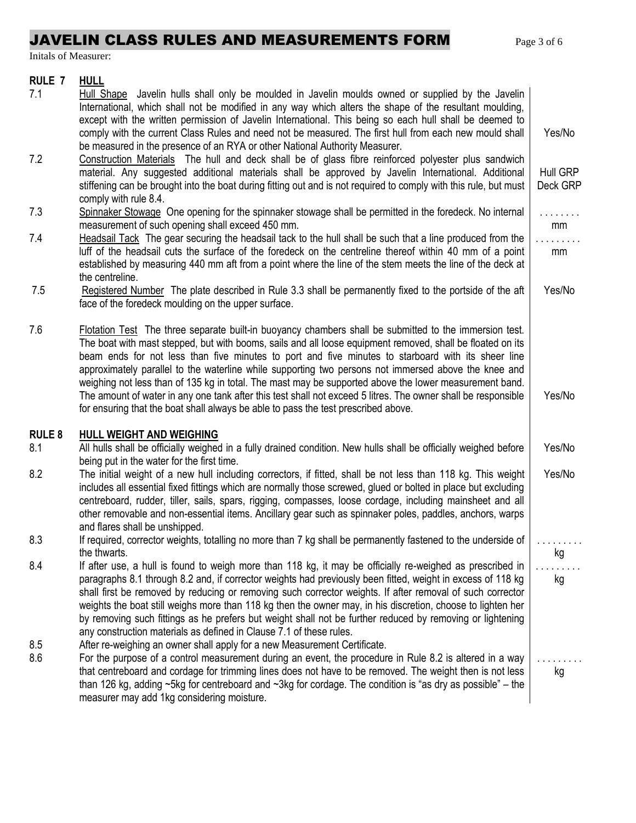# JAVELIN CLASS RULES AND MEASUREMENTS FORM Page 3 of 6

Initals of Measurer:

### **RULE 7 HULL**

| 7.1           | Hull Shape Javelin hulls shall only be moulded in Javelin moulds owned or supplied by the Javelin<br>International, which shall not be modified in any way which alters the shape of the resultant moulding,<br>except with the written permission of Javelin International. This being so each hull shall be deemed to<br>comply with the current Class Rules and need not be measured. The first hull from each new mould shall<br>be measured in the presence of an RYA or other National Authority Measurer.                                                                                                                                              | Yes/No               |
|---------------|---------------------------------------------------------------------------------------------------------------------------------------------------------------------------------------------------------------------------------------------------------------------------------------------------------------------------------------------------------------------------------------------------------------------------------------------------------------------------------------------------------------------------------------------------------------------------------------------------------------------------------------------------------------|----------------------|
| 7.2           | Construction Materials The hull and deck shall be of glass fibre reinforced polyester plus sandwich<br>material. Any suggested additional materials shall be approved by Javelin International. Additional<br>stiffening can be brought into the boat during fitting out and is not required to comply with this rule, but must<br>comply with rule 8.4.                                                                                                                                                                                                                                                                                                      | Hull GRP<br>Deck GRP |
| 7.3           | Spinnaker Stowage One opening for the spinnaker stowage shall be permitted in the foredeck. No internal<br>measurement of such opening shall exceed 450 mm.                                                                                                                                                                                                                                                                                                                                                                                                                                                                                                   | .<br>mm              |
| 7.4           | Headsail Tack The gear securing the headsail tack to the hull shall be such that a line produced from the<br>luff of the headsail cuts the surface of the foredeck on the centreline thereof within 40 mm of a point<br>established by measuring 440 mm aft from a point where the line of the stem meets the line of the deck at<br>the centreline.                                                                                                                                                                                                                                                                                                          | mm                   |
| 7.5           | Registered Number The plate described in Rule 3.3 shall be permanently fixed to the portside of the aft<br>face of the foredeck moulding on the upper surface.                                                                                                                                                                                                                                                                                                                                                                                                                                                                                                | Yes/No               |
| 7.6           | Flotation Test The three separate built-in buoyancy chambers shall be submitted to the immersion test.<br>The boat with mast stepped, but with booms, sails and all loose equipment removed, shall be floated on its<br>beam ends for not less than five minutes to port and five minutes to starboard with its sheer line<br>approximately parallel to the waterline while supporting two persons not immersed above the knee and<br>weighing not less than of 135 kg in total. The mast may be supported above the lower measurement band.<br>The amount of water in any one tank after this test shall not exceed 5 litres. The owner shall be responsible | Yes/No               |
|               | for ensuring that the boat shall always be able to pass the test prescribed above.                                                                                                                                                                                                                                                                                                                                                                                                                                                                                                                                                                            |                      |
| <b>RULE 8</b> | <b>HULL WEIGHT AND WEIGHING</b>                                                                                                                                                                                                                                                                                                                                                                                                                                                                                                                                                                                                                               |                      |
| 8.1           | All hulls shall be officially weighed in a fully drained condition. New hulls shall be officially weighed before<br>being put in the water for the first time.                                                                                                                                                                                                                                                                                                                                                                                                                                                                                                | Yes/No               |
| 8.2           | The initial weight of a new hull including correctors, if fitted, shall be not less than 118 kg. This weight<br>includes all essential fixed fittings which are normally those screwed, glued or bolted in place but excluding<br>centreboard, rudder, tiller, sails, spars, rigging, compasses, loose cordage, including mainsheet and all<br>other removable and non-essential items. Ancillary gear such as spinnaker poles, paddles, anchors, warps<br>and flares shall be unshipped.                                                                                                                                                                     | Yes/No               |
| 8.3           | If required, corrector weights, totalling no more than 7 kg shall be permanently fastened to the underside of<br>the thwarts.                                                                                                                                                                                                                                                                                                                                                                                                                                                                                                                                 | kg                   |
| 8.4           | If after use, a hull is found to weigh more than 118 kg, it may be officially re-weighed as prescribed in<br>paragraphs 8.1 through 8.2 and, if corrector weights had previously been fitted, weight in excess of 118 kg<br>shall first be removed by reducing or removing such corrector weights. If after removal of such corrector<br>weights the boat still weighs more than 118 kg then the owner may, in his discretion, choose to lighten her<br>by removing such fittings as he prefers but weight shall not be further reduced by removing or lightening<br>any construction materials as defined in Clause 7.1 of these rules.                      | kg                   |
| 8.5<br>8.6    | After re-weighing an owner shall apply for a new Measurement Certificate.<br>For the purpose of a control measurement during an event, the procedure in Rule 8.2 is altered in a way<br>that centreboard and cordage for trimming lines does not have to be removed. The weight then is not less<br>than 126 kg, adding $\sim$ 5kg for centreboard and $\sim$ 3kg for cordage. The condition is "as dry as possible" – the<br>measurer may add 1kg considering moisture.                                                                                                                                                                                      | kg                   |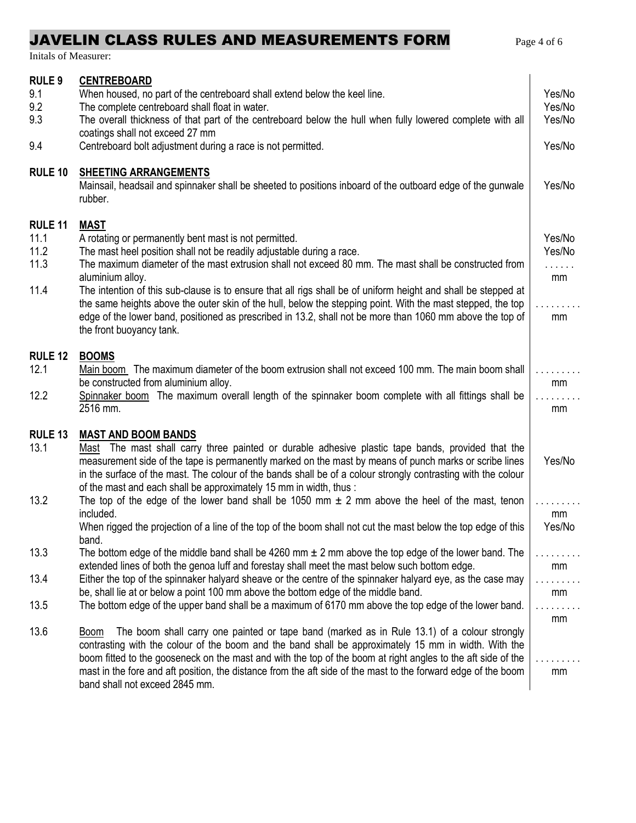# JAVELIN CLASS RULES AND MEASUREMENTS FORM Page 4 of 6

Initals of Measurer:

| <b>RULE 9</b>              | <b>CENTREBOARD</b>                                                                                                                                                                                           |                  |
|----------------------------|--------------------------------------------------------------------------------------------------------------------------------------------------------------------------------------------------------------|------------------|
| 9.1<br>9.2                 | When housed, no part of the centreboard shall extend below the keel line.<br>The complete centreboard shall float in water.                                                                                  | Yes/No<br>Yes/No |
| 9.3                        | The overall thickness of that part of the centreboard below the hull when fully lowered complete with all                                                                                                    | Yes/No           |
|                            | coatings shall not exceed 27 mm                                                                                                                                                                              |                  |
| 9.4                        | Centreboard bolt adjustment during a race is not permitted.                                                                                                                                                  | Yes/No           |
| <b>RULE 10</b>             | <b>SHEETING ARRANGEMENTS</b><br>Mainsail, headsail and spinnaker shall be sheeted to positions inboard of the outboard edge of the gunwale<br>rubber.                                                        | Yes/No           |
| RULE <sub>11</sub>         | <b>MAST</b>                                                                                                                                                                                                  |                  |
| 11.1                       | A rotating or permanently bent mast is not permitted.                                                                                                                                                        | Yes/No           |
| 11.2                       | The mast heel position shall not be readily adjustable during a race.                                                                                                                                        | Yes/No           |
| 11.3                       | The maximum diameter of the mast extrusion shall not exceed 80 mm. The mast shall be constructed from<br>aluminium alloy.                                                                                    | .<br>mm          |
| 11.4                       | The intention of this sub-clause is to ensure that all rigs shall be of uniform height and shall be stepped at                                                                                               |                  |
|                            | the same heights above the outer skin of the hull, below the stepping point. With the mast stepped, the top                                                                                                  |                  |
|                            | edge of the lower band, positioned as prescribed in 13.2, shall not be more than 1060 mm above the top of                                                                                                    | mm               |
|                            | the front buoyancy tank.                                                                                                                                                                                     |                  |
| <b>RULE 12</b>             | <b>BOOMS</b>                                                                                                                                                                                                 |                  |
| 12.1                       | Main boom The maximum diameter of the boom extrusion shall not exceed 100 mm. The main boom shall                                                                                                            |                  |
| 12.2                       | be constructed from aluminium alloy.<br>Spinnaker boom The maximum overall length of the spinnaker boom complete with all fittings shall be                                                                  | mm               |
|                            | 2516 mm.                                                                                                                                                                                                     | mm               |
|                            |                                                                                                                                                                                                              |                  |
| RULE <sub>13</sub><br>13.1 | <b>MAST AND BOOM BANDS</b>                                                                                                                                                                                   |                  |
|                            | Mast The mast shall carry three painted or durable adhesive plastic tape bands, provided that the<br>measurement side of the tape is permanently marked on the mast by means of punch marks or scribe lines  | Yes/No           |
|                            | in the surface of the mast. The colour of the bands shall be of a colour strongly contrasting with the colour                                                                                                |                  |
|                            | of the mast and each shall be approximately 15 mm in width, thus :                                                                                                                                           |                  |
| 13.2                       | The top of the edge of the lower band shall be 1050 mm $\pm$ 2 mm above the heel of the mast, tenon<br>included.                                                                                             | mm               |
|                            | When rigged the projection of a line of the top of the boom shall not cut the mast below the top edge of this                                                                                                | Yes/No           |
|                            | band.                                                                                                                                                                                                        |                  |
| 13.3                       | The bottom edge of the middle band shall be 4260 mm $\pm$ 2 mm above the top edge of the lower band. The                                                                                                     |                  |
| 13.4                       | extended lines of both the genoa luff and forestay shall meet the mast below such bottom edge.<br>Either the top of the spinnaker halyard sheave or the centre of the spinnaker halyard eye, as the case may | mm               |
|                            | be, shall lie at or below a point 100 mm above the bottom edge of the middle band.                                                                                                                           | mm               |
| 13.5                       | The bottom edge of the upper band shall be a maximum of 6170 mm above the top edge of the lower band.                                                                                                        |                  |
|                            |                                                                                                                                                                                                              | mm               |
| 13.6                       | The boom shall carry one painted or tape band (marked as in Rule 13.1) of a colour strongly<br>Boom<br>contrasting with the colour of the boom and the band shall be approximately 15 mm in width. With the  |                  |
|                            | boom fitted to the gooseneck on the mast and with the top of the boom at right angles to the aft side of the                                                                                                 |                  |
|                            | mast in the fore and aft position, the distance from the aft side of the mast to the forward edge of the boom                                                                                                | mm               |
|                            | band shall not exceed 2845 mm.                                                                                                                                                                               |                  |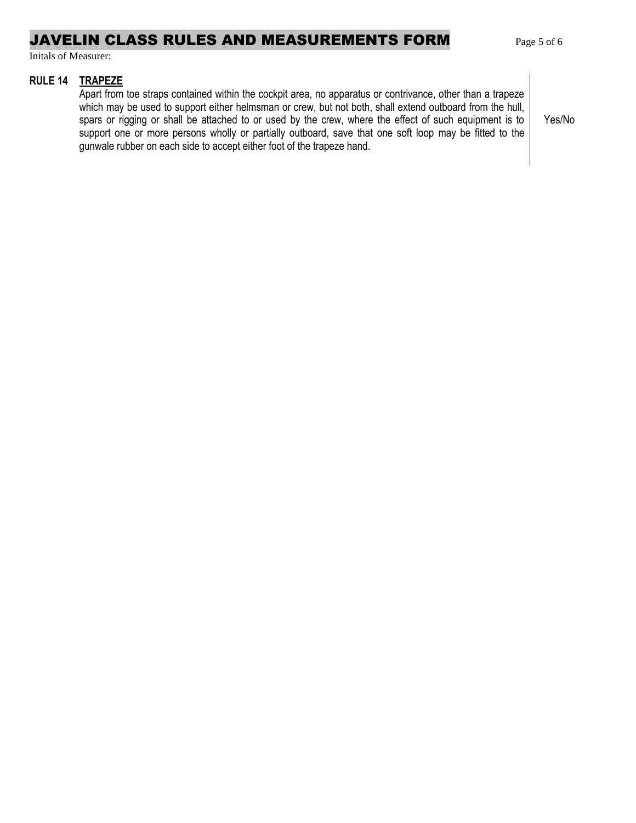### JAVELIN CLASS RULES AND MEASUREMENTS FORM Page 5 of 6

Initals of Measurer:

#### **RULE 14 TRAPEZE**

Apart from toe straps contained within the cockpit area, no apparatus or contrivance, other than a trapeze which may be used to support either helmsman or crew, but not both, shall extend outboard from the hull, spars or rigging or shall be attached to or used by the crew, where the effect of such equipment is to support one or more persons wholly or partially outboard, save that one soft loop may be fitted to the gunwale rubber on each side to accept either foot of the trapeze hand.

Yes/No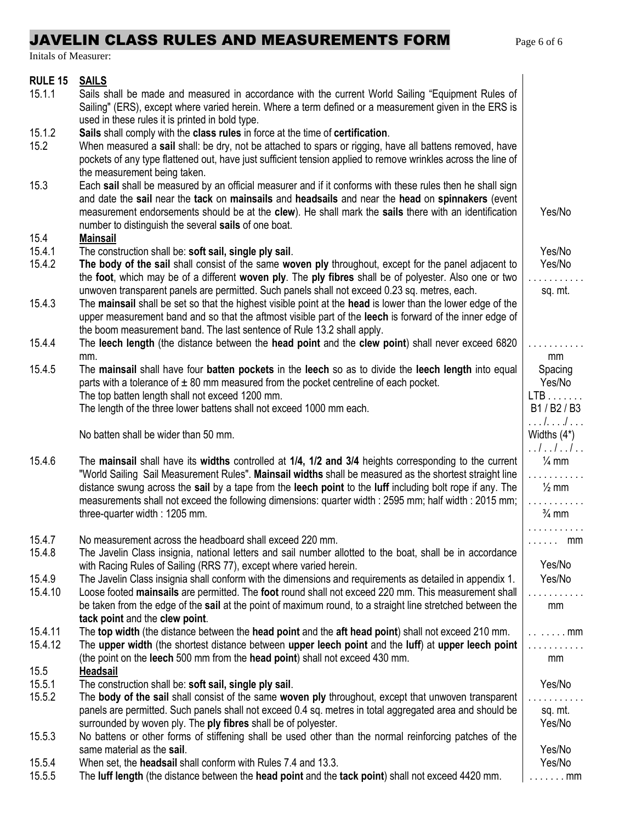# JAVELIN CLASS RULES AND MEASUREMENTS FORM Page 6 of 6

Initals of Measurer:

| <b>RULE 15</b><br>15.1.1 | <b>SAILS</b><br>Sails shall be made and measured in accordance with the current World Sailing "Equipment Rules of<br>Sailing" (ERS), except where varied herein. Where a term defined or a measurement given in the ERS is |                                    |
|--------------------------|----------------------------------------------------------------------------------------------------------------------------------------------------------------------------------------------------------------------------|------------------------------------|
|                          | used in these rules it is printed in bold type.                                                                                                                                                                            |                                    |
| 15.1.2                   | Sails shall comply with the class rules in force at the time of certification.                                                                                                                                             |                                    |
| 15.2                     | When measured a sail shall: be dry, not be attached to spars or rigging, have all battens removed, have<br>pockets of any type flattened out, have just sufficient tension applied to remove wrinkles across the line of   |                                    |
|                          | the measurement being taken.                                                                                                                                                                                               |                                    |
| 15.3                     | Each sail shall be measured by an official measurer and if it conforms with these rules then he shall sign<br>and date the sail near the tack on mainsails and headsails and near the head on spinnakers (event            |                                    |
|                          | measurement endorsements should be at the clew). He shall mark the sails there with an identification<br>number to distinguish the several sails of one boat.                                                              | Yes/No                             |
| 15.4                     | <b>Mainsail</b>                                                                                                                                                                                                            |                                    |
| 15.4.1                   | The construction shall be: soft sail, single ply sail.                                                                                                                                                                     | Yes/No                             |
| 15.4.2                   | The body of the sail shall consist of the same woven ply throughout, except for the panel adjacent to                                                                                                                      | Yes/No                             |
|                          | the foot, which may be of a different woven ply. The ply fibres shall be of polyester. Also one or two                                                                                                                     |                                    |
|                          | unwoven transparent panels are permitted. Such panels shall not exceed 0.23 sq. metres, each.                                                                                                                              | sq. mt.                            |
| 15.4.3                   | The mainsail shall be set so that the highest visible point at the head is lower than the lower edge of the                                                                                                                |                                    |
|                          | upper measurement band and so that the aftmost visible part of the leech is forward of the inner edge of                                                                                                                   |                                    |
|                          | the boom measurement band. The last sentence of Rule 13.2 shall apply.                                                                                                                                                     |                                    |
| 15.4.4                   | The leech length (the distance between the head point and the clew point) shall never exceed 6820<br>mm.                                                                                                                   | mm                                 |
| 15.4.5                   | The mainsail shall have four batten pockets in the leech so as to divide the leech length into equal                                                                                                                       | Spacing                            |
|                          | parts with a tolerance of $\pm$ 80 mm measured from the pocket centreline of each pocket.                                                                                                                                  | Yes/No                             |
|                          | The top batten length shall not exceed 1200 mm.                                                                                                                                                                            | $LTB$                              |
|                          | The length of the three lower battens shall not exceed 1000 mm each.                                                                                                                                                       | B1/B2/B3<br>. <i>l.l</i>           |
|                          | No batten shall be wider than 50 mm.                                                                                                                                                                                       | Widths $(4^*)$<br>. . <i>. . .</i> |
| 15.4.6                   | The mainsail shall have its widths controlled at 1/4, 1/2 and 3/4 heights corresponding to the current                                                                                                                     | $\frac{1}{4}$ mm                   |
|                          | "World Sailing Sail Measurement Rules". Mainsail widths shall be measured as the shortest straight line                                                                                                                    |                                    |
|                          | distance swung across the sail by a tape from the leech point to the luff including bolt rope if any. The                                                                                                                  | $\frac{1}{2}$ mm                   |
|                          | measurements shall not exceed the following dimensions: quarter width: 2595 mm; half width: 2015 mm;                                                                                                                       |                                    |
|                          | three-quarter width: 1205 mm.                                                                                                                                                                                              | $\frac{3}{4}$ mm                   |
|                          |                                                                                                                                                                                                                            |                                    |
| 15.4.7<br>15.4.8         | No measurement across the headboard shall exceed 220 mm.                                                                                                                                                                   | $\ldots \ldots$ mm                 |
|                          | The Javelin Class insignia, national letters and sail number allotted to the boat, shall be in accordance<br>with Racing Rules of Sailing (RRS 77), except where varied herein.                                            | Yes/No                             |
| 15.4.9                   | The Javelin Class insignia shall conform with the dimensions and requirements as detailed in appendix 1.                                                                                                                   | Yes/No                             |
| 15.4.10                  | Loose footed mainsails are permitted. The foot round shall not exceed 220 mm. This measurement shall                                                                                                                       |                                    |
|                          | be taken from the edge of the sail at the point of maximum round, to a straight line stretched between the                                                                                                                 | mm                                 |
|                          | tack point and the clew point.                                                                                                                                                                                             |                                    |
| 15.4.11                  | The top width (the distance between the head point and the aft head point) shall not exceed 210 mm.                                                                                                                        | $\ldots \ldots \ldots$ mm          |
| 15.4.12                  | The upper width (the shortest distance between upper leech point and the luff) at upper leech point                                                                                                                        |                                    |
|                          | (the point on the leech 500 mm from the head point) shall not exceed 430 mm.                                                                                                                                               | mm                                 |
| 15.5                     | Headsail                                                                                                                                                                                                                   |                                    |
| 15.5.1                   | The construction shall be: soft sail, single ply sail.                                                                                                                                                                     | Yes/No                             |
| 15.5.2                   | The body of the sail shall consist of the same woven ply throughout, except that unwoven transparent                                                                                                                       |                                    |
|                          | panels are permitted. Such panels shall not exceed 0.4 sq. metres in total aggregated area and should be                                                                                                                   | sq. mt.<br>Yes/No                  |
| 15.5.3                   | surrounded by woven ply. The ply fibres shall be of polyester.<br>No battens or other forms of stiffening shall be used other than the normal reinforcing patches of the                                                   |                                    |
|                          | same material as the sail.                                                                                                                                                                                                 | Yes/No                             |
| 15.5.4                   | When set, the <b>headsail</b> shall conform with Rules 7.4 and 13.3.                                                                                                                                                       | Yes/No                             |
| 15.5.5                   | The luff length (the distance between the head point and the tack point) shall not exceed 4420 mm.                                                                                                                         | $\ldots$ . mm                      |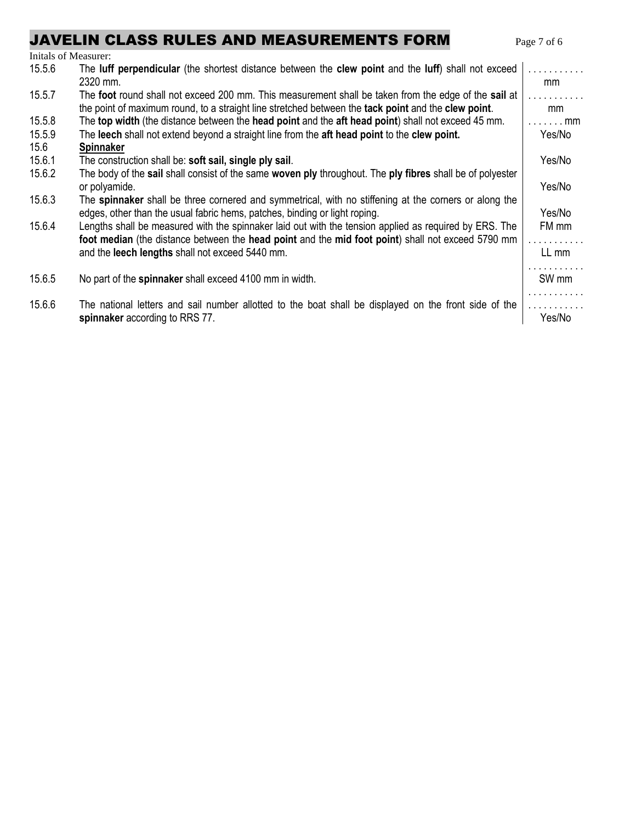# JAVELIN CLASS RULES AND MEASUREMENTS FORM Page 7 of 6

| Initals of Measurer: |                                                                                                                                                                                                             |                  |
|----------------------|-------------------------------------------------------------------------------------------------------------------------------------------------------------------------------------------------------------|------------------|
| 15.5.6               | The luff perpendicular (the shortest distance between the clew point and the luff) shall not exceed<br>2320 mm.                                                                                             | .<br>mm          |
| 15.5.7               | The foot round shall not exceed 200 mm. This measurement shall be taken from the edge of the sail at<br>the point of maximum round, to a straight line stretched between the tack point and the clew point. | .<br>mm          |
| 15.5.8               | The top width (the distance between the head point and the aft head point) shall not exceed 45 mm.                                                                                                          | . mm             |
| 15.5.9               | The leech shall not extend beyond a straight line from the aft head point to the clew point.                                                                                                                | Yes/No           |
| 15.6                 | <b>Spinnaker</b>                                                                                                                                                                                            |                  |
| 15.6.1               | The construction shall be: soft sail, single ply sail.                                                                                                                                                      | Yes/No           |
| 15.6.2               | The body of the sail shall consist of the same woven ply throughout. The ply fibres shall be of polyester<br>or polyamide.                                                                                  | Yes/No           |
| 15.6.3               | The spinnaker shall be three cornered and symmetrical, with no stiffening at the corners or along the<br>edges, other than the usual fabric hems, patches, binding or light roping.                         | Yes/No           |
| 15.6.4               | Lengths shall be measured with the spinnaker laid out with the tension applied as required by ERS. The<br>foot median (the distance between the head point and the mid foot point) shall not exceed 5790 mm | FM mm<br>.       |
|                      | and the leech lengths shall not exceed 5440 mm.                                                                                                                                                             | LL mm            |
| 15.6.5               | No part of the spinnaker shall exceed 4100 mm in width.                                                                                                                                                     | SW <sub>mm</sub> |
| 15.6.6               | The national letters and sail number allotted to the boat shall be displayed on the front side of the                                                                                                       | .                |
|                      | spinnaker according to RRS 77.                                                                                                                                                                              | Yes/No           |